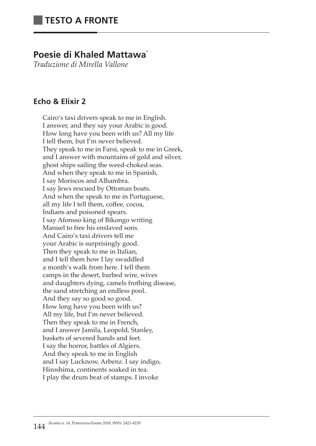# **Poesie di Khaled Mattawa**\*

*Traduzione di Mirella Vallone*

# **Echo & Elixir 2**

Cairo's taxi drivers speak to me in English. I answer, and they say your Arabic is good. How long have you been with us? All my life I tell them, but I'm never believed. They speak to me in Farsi, speak to me in Greek, and I answer with mountains of gold and silver, ghost ships sailing the weed-choked seas. And when they speak to me in Spanish, I say Moriscos and Alhambra. I say Jews rescued by Ottoman boats. And when the speak to me in Portuguese, all my life I tell them, coffee, cocoa, Indians and poisoned spears. I say Afonsso king of Bikongo writing Manuel to free his enslaved sons. And Cairo's taxi drivers tell me your Arabic is surprisingly good. Then they speak to me in Italian, and I tell them how I lay swaddled a month's walk from here. I tell them camps in the desert, barbed wire, wives and daughters dying, camels frothing disease, the sand stretching an endless pool. And they say so good so good. How long have you been with us? All my life, but I'm never believed. Then they speak to me in French, and I answer Jamila, Leopold, Stanley, baskets of severed hands and feet. I say the horror, battles of Algiers. And they speak to me in English and I say Lucknow, Arbenz. I say indigo, Hiroshima, continents soaked in tea. I play the drum beat of stamps. I invoke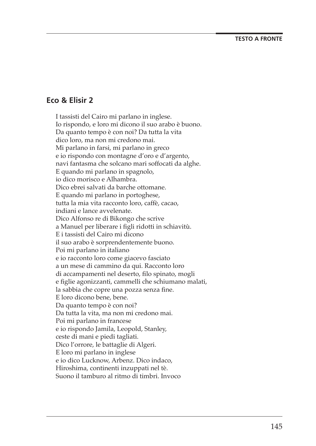## **Eco & Elisir 2**

I tassisti del Cairo mi parlano in inglese. Io rispondo, e loro mi dicono il suo arabo è buono. Da quanto tempo è con noi? Da tutta la vita dico loro, ma non mi credono mai. Mi parlano in farsi, mi parlano in greco e io rispondo con montagne d'oro e d'argento, navi fantasma che solcano mari soffocati da alghe. E quando mi parlano in spagnolo, io dico morisco e Alhambra. Dico ebrei salvati da barche ottomane. E quando mi parlano in portoghese, tutta la mia vita racconto loro, caffè, cacao, indiani e lance avvelenate. Dico Alfonso re di Bikongo che scrive a Manuel per liberare i figli ridotti in schiavitù. E i tassisti del Cairo mi dicono il suo arabo è sorprendentemente buono. Poi mi parlano in italiano e io racconto loro come giacevo fasciato a un mese di cammino da qui. Racconto loro di accampamenti nel deserto, filo spinato, mogli e figlie agonizzanti, cammelli che schiumano malati, la sabbia che copre una pozza senza fine. E loro dicono bene, bene. Da quanto tempo è con noi? Da tutta la vita, ma non mi credono mai. Poi mi parlano in francese e io rispondo Jamila, Leopold, Stanley, ceste di mani e piedi tagliati. Dico l'orrore, le battaglie di Algeri. E loro mi parlano in inglese e io dico Lucknow, Arbenz. Dico indaco, Hiroshima, continenti inzuppati nel tè. Suono il tamburo al ritmo di timbri. Invoco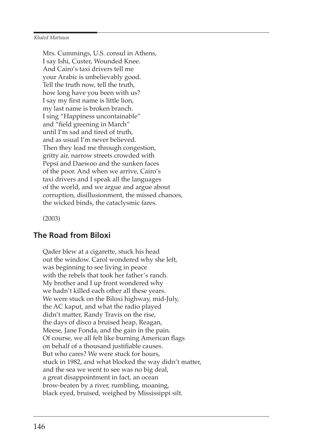Mrs. Cummings, U.S. consul in Athens, I say Ishi, Custer, Wounded Knee. And Cairo's taxi drivers tell me your Arabic is unbelievably good. Tell the truth now, tell the truth, how long have you been with us? I say my first name is little lion, my last name is broken branch. I sing "Happiness uncontainable" and "field greening in March" until I'm sad and tired of truth, and as usual I'm never believed. Then they lead me through congestion, gritty air, narrow streets crowded with Pepsi and Daewoo and the sunken faces of the poor. And when we arrive, Cairo's taxi drivers and I speak all the languages of the world, and we argue and argue about corruption, disillusionment, the missed chances, the wicked binds, the cataclysmic fares.

(2003)

### **The Road from Biloxi**

Qader blew at a cigarette, stuck his head out the window. Carol wondered why she left, was beginning to see living in peace with the rebels that took her father's ranch. My brother and I up front wondered why we hadn't killed each other all these years. We were stuck on the Biloxi highway, mid-July, the AC kaput, and what the radio played didn't matter, Randy Travis on the rise, the days of disco a bruised heap, Reagan, Meese, Jane Fonda, and the gain in the pain. Of course, we all felt like burning American flags on behalf of a thousand justifiable causes. But who cares? We were stuck for hours, stuck in 1982, and what blocked the way didn't matter, and the sea we went to see was no big deal, a great disappointment in fact, an ocean brow-beaten by a river, rumbling, moaning, black eyed, bruised, weighed by Mississippi silt.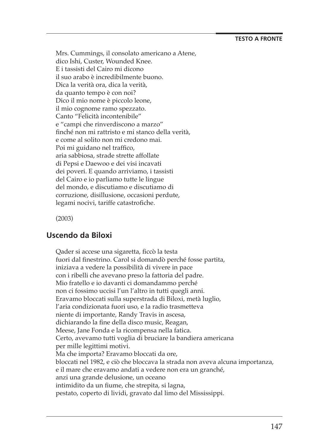Mrs. Cummings, il consolato americano a Atene, dico Ishi, Custer, Wounded Knee. E i tassisti del Cairo mi dicono il suo arabo è incredibilmente buono. Dica la verità ora, dica la verità, da quanto tempo è con noi? Dico il mio nome è piccolo leone, il mio cognome ramo spezzato. Canto "Felicità incontenibile" e "campi che rinverdiscono a marzo" finché non mi rattristo e mi stanco della verità, e come al solito non mi credono mai. Poi mi guidano nel traffico, aria sabbiosa, strade strette affollate di Pepsi e Daewoo e dei visi incavati dei poveri. E quando arriviamo, i tassisti del Cairo e io parliamo tutte le lingue del mondo, e discutiamo e discutiamo di corruzione, disillusione, occasioni perdute, legami nocivi, tariffe catastrofiche.

(2003)

# **Uscendo da Biloxi**

Qader si accese una sigaretta, ficcò la testa fuori dal finestrino. Carol si domandò perché fosse partita, iniziava a vedere la possibilità di vivere in pace con i ribelli che avevano preso la fattoria del padre. Mio fratello e io davanti ci domandammo perché non ci fossimo uccisi l'un l'altro in tutti quegli anni. Eravamo bloccati sulla superstrada di Biloxi, metà luglio, l'aria condizionata fuori uso, e la radio trasmetteva niente di importante, Randy Travis in ascesa, dichiarando la fine della disco music, Reagan, Meese, Jane Fonda e la ricompensa nella fatica. Certo, avevamo tutti voglia di bruciare la bandiera americana per mille legittimi motivi. Ma che importa? Eravamo bloccati da ore, bloccati nel 1982, e ciò che bloccava la strada non aveva alcuna importanza, e il mare che eravamo andati a vedere non era un granché, anzi una grande delusione, un oceano intimidito da un fiume, che strepita, si lagna, pestato, coperto di lividi, gravato dal limo del Mississippi.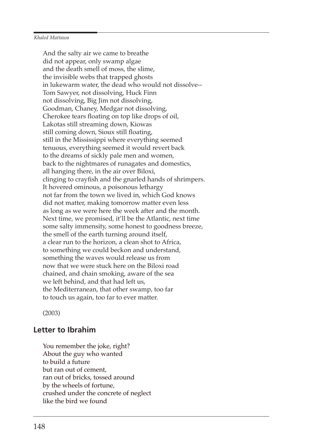#### *Khaled Mattawa*

And the salty air we came to breathe did not appear, only swamp algae and the death smell of moss, the slime, the invisible webs that trapped ghosts in lukewarm water, the dead who would not dissolve-- Tom Sawyer, not dissolving, Huck Finn not dissolving, Big Jim not dissolving, Goodman, Chaney, Medgar not dissolving, Cherokee tears floating on top like drops of oil, Lakotas still streaming down, Kiowas still coming down, Sioux still floating, still in the Mississippi where everything seemed tenuous, everything seemed it would revert back to the dreams of sickly pale men and women, back to the nightmares of runagates and domestics, all hanging there, in the air over Biloxi, clinging to crayfish and the gnarled hands of shrimpers. It hovered ominous, a poisonous lethargy not far from the town we lived in, which God knows did not matter, making tomorrow matter even less as long as we were here the week after and the month. Next time, we promised, it'll be the Atlantic, next time some salty immensity, some honest to goodness breeze, the smell of the earth turning around itself, a clear run to the horizon, a clean shot to Africa, to something we could beckon and understand, something the waves would release us from now that we were stuck here on the Biloxi road chained, and chain smoking, aware of the sea we left behind, and that had left us, the Mediterranean, that other swamp, too far to touch us again, too far to ever matter.

(2003)

### **Letter to Ibrahim**

You remember the joke, right? About the guy who wanted to build a future but ran out of cement, ran out of bricks, tossed around by the wheels of fortune, crushed under the concrete of neglect like the bird we found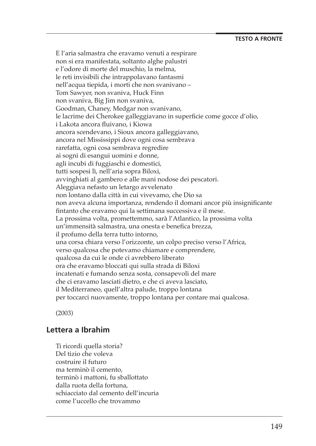E l'aria salmastra che eravamo venuti a respirare non si era manifestata, soltanto alghe palustri e l'odore di morte del muschio, la melma, le reti invisibili che intrappolavano fantasmi nell'acqua tiepida, i morti che non svanivano – Tom Sawyer, non svaniva, Huck Finn non svaniva, Big Jim non svaniva, Goodman, Chaney, Medgar non svanivano, le lacrime dei Cherokee galleggiavano in superficie come gocce d'olio, i Lakota ancora fluivano, i Kiowa ancora scendevano, i Sioux ancora galleggiavano, ancora nel Mississippi dove ogni cosa sembrava rarefatta, ogni cosa sembrava regredire ai sogni di esangui uomini e donne, agli incubi di fuggiaschi e domestici, tutti sospesi lì, nell'aria sopra Biloxi, avvinghiati al gambero e alle mani nodose dei pescatori. Aleggiava nefasto un letargo avvelenato non lontano dalla città in cui vivevamo, che Dio sa non aveva alcuna importanza, rendendo il domani ancor più insignificante fintanto che eravamo qui la settimana successiva e il mese. La prossima volta, promettemmo, sarà l'Atlantico, la prossima volta un'immensità salmastra, una onesta e benefica brezza, il profumo della terra tutto intorno, una corsa chiara verso l'orizzonte, un colpo preciso verso l'Africa, verso qualcosa che potevamo chiamare e comprendere, qualcosa da cui le onde ci avrebbero liberato ora che eravamo bloccati qui sulla strada di Biloxi incatenati e fumando senza sosta, consapevoli del mare che ci eravamo lasciati dietro, e che ci aveva lasciato, il Mediterraneo, quell'altra palude, troppo lontana per toccarci nuovamente, troppo lontana per contare mai qualcosa.

(2003)

### **Lettera a Ibrahim**

Ti ricordi quella storia? Del tizio che voleva costruire il futuro ma terminò il cemento, terminò i mattoni, fu sballottato dalla ruota della fortuna, schiacciato dal cemento dell'incuria come l'uccello che trovammo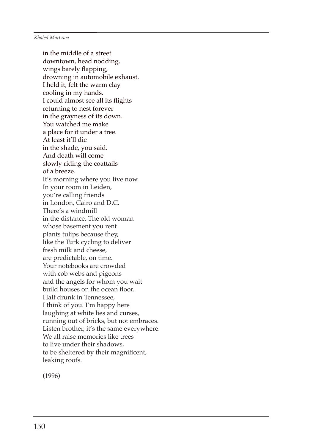#### *Khaled Mattawa*

in the middle of a street downtown, head nodding, wings barely flapping, drowning in automobile exhaust. I held it, felt the warm clay cooling in my hands. I could almost see all its flights returning to nest forever in the grayness of its down. You watched me make a place for it under a tree. At least it'll die in the shade, you said. And death will come slowly riding the coattails of a breeze. It's morning where you live now. In your room in Leiden, you're calling friends in London, Cairo and D.C. There's a windmill in the distance. The old woman whose basement you rent plants tulips because they, like the Turk cycling to deliver fresh milk and cheese, are predictable, on time. Your notebooks are crowded with cob webs and pigeons and the angels for whom you wait build houses on the ocean floor. Half drunk in Tennessee, I think of you. I'm happy here laughing at white lies and curses, running out of bricks, but not embraces. Listen brother, it's the same everywhere. We all raise memories like trees to live under their shadows, to be sheltered by their magnificent, leaking roofs.

(1996)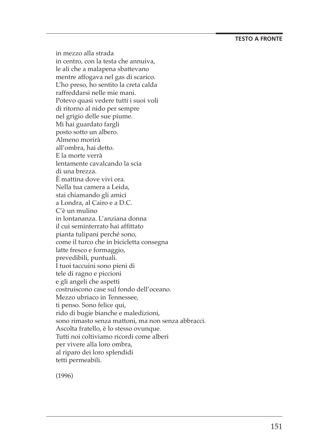### **TESTO A FRONTE**

in mezzo alla strada in centro, con la testa che annuiva, le ali che a malapena sbattevano mentre affogava nel gas di scarico. L'ho preso, ho sentito la creta calda raffreddarsi nelle mie mani. Potevo quasi vedere tutti i suoi voli di ritorno al nido per sempre nel grigio delle sue piume. Mi hai guardato fargli posto sotto un albero. Almeno morirà all'ombra, hai detto. E la morte verrà lentamente cavalcando la scia di una brezza. È mattina dove vivi ora. Nella tua camera a Leida, stai chiamando gli amici a Londra, al Cairo e a D.C. C'è un mulino in lontananza. L'anziana donna il cui seminterrato hai affittato pianta tulipani perché sono, come il turco che in bicicletta consegna latte fresco e formaggio, prevedibili, puntuali. I tuoi taccuini sono pieni di tele di ragno e piccioni e gli angeli che aspetti costruiscono case sul fondo dell'oceano. Mezzo ubriaco in Tennessee, ti penso. Sono felice qui, rido di bugie bianche e maledizioni, sono rimasto senza mattoni, ma non senza abbracci. Ascolta fratello, è lo stesso ovunque. Tutti noi coltiviamo ricordi come alberi per vivere alla loro ombra, al riparo dei loro splendidi tetti permeabili.

(1996)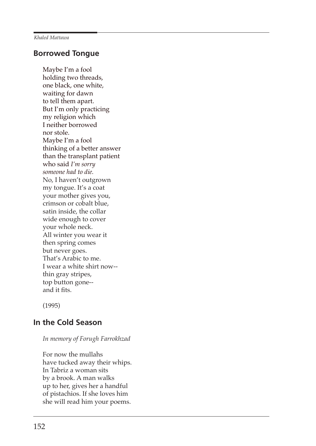## **Borrowed Tongue**

Maybe I'm a fool holding two threads, one black, one white, waiting for dawn to tell them apart. But I'm only practicing my religion which I neither borrowed nor stole. Maybe I'm a fool thinking of a better answer than the transplant patient who said *I'm sorry someone had to die.* No, I haven't outgrown my tongue. It's a coat your mother gives you, crimson or cobalt blue, satin inside, the collar wide enough to cover your whole neck. All winter you wear it then spring comes but never goes. That's Arabic to me. I wear a white shirt now- thin gray stripes, top button gone- and it fits.

(1995)

# **In the Cold Season**

*In memory of Forugh Farrokhzad*

For now the mullahs have tucked away their whips. In Tabriz a woman sits by a brook. A man walks up to her, gives her a handful of pistachios. If she loves him she will read him your poems.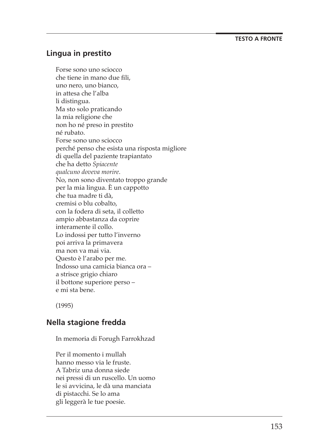### **TESTO A FRONTE**

## **Lingua in prestito**

Forse sono uno sciocco che tiene in mano due fili, uno nero, uno bianco, in attesa che l'alba li distingua. Ma sto solo praticando la mia religione che non ho né preso in prestito né rubato. Forse sono uno sciocco perché penso che esista una risposta migliore di quella del paziente trapiantato che ha detto *Spiacente qualcuno doveva morire* . No, non sono diventato troppo grande per la mia lingua. È un cappotto che tua madre ti dà, cremisi o blu cobalto, con la fodera di seta, il colletto ampio abbastanza da coprire interamente il collo. Lo indossi per tutto l'inverno poi arriva la primavera ma non va mai via. Questo è l'arabo per me. Indosso una camicia bianca ora – a strisce grigio chiaro il bottone superiore perso – e mi sta bene.

(1995)

### **Nella stagione fredda**

In memoria di Forugh Farrokhzad

Per il momento i mullah hanno messo via le fruste. A Tabriz una donna siede nei pressi di un ruscello. Un uomo le si avvicina, le dà una manciata di pistacchi. Se lo ama gli leggerà le tue poesie.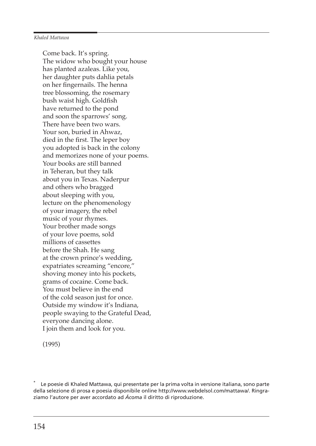#### *Khaled Mattawa*

Come back. It's spring. The widow who bought your house has planted azaleas. Like you, her daughter puts dahlia petals on her fingernails. The henna tree blossoming, the rosemary bush waist high. Goldfish have returned to the pond and soon the sparrows' song. There have been two wars. Your son, buried in Ahwaz, died in the first. The leper boy you adopted is back in the colony and memorizes none of your poems. Your books are still banned in Teheran, but they talk about you in Texas. Naderpur and others who bragged about sleeping with you, lecture on the phenomenology of your imagery, the rebel music of your rhymes. Your brother made songs of your love poems, sold millions of cassettes before the Shah. He sang at the crown prince's wedding, expatriates screaming "encore," shoving money into his pockets, grams of cocaine. Come back. You must believe in the end of the cold season just for once. Outside my window it's Indiana, people swaying to the Grateful Dead, everyone dancing alone. I join them and look for you.

(1995)

<sup>\*</sup> Le poesie di Khaled Mattawa, qui presentate per la prima volta in versione italiana, sono parte della selezione di prosa e poesia disponibile online http://www.webdelsol.com/mattawa/. Ringraziamo l'autore per aver accordato ad *Ácoma* il diritto di riproduzione.